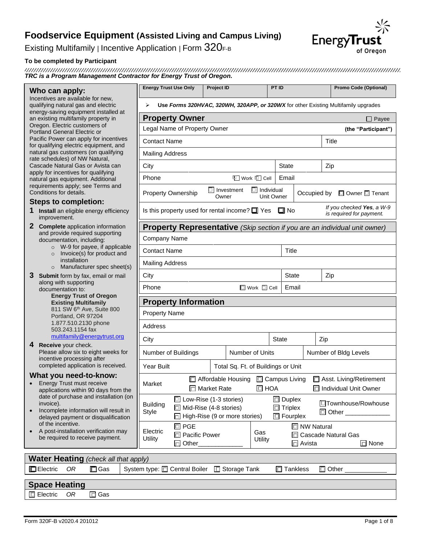Existing Multifamily | Incentive Application | Form 320F-B

#### **To be completed by Participant**

*TRC is a Program Management Contractor for Energy Trust of Oregon.*

#### **Who can apply:**

#### **Steps to completion:**

- **1 Install** an eligible energy efficiency improvement.
- **2 Complete** application information and provide required supporting documentation, including:
	- o W-9 for payee, if applicable o Invoice(s) for product and installation
	- o Manufacturer spec sheet(s)
- **3 Submit** form by fax, email or mail along with supporting documentation to: **Energy Trust of Oregon Existing Multifamily**

#### **What you need-to-know:**

- Energy Trust must receive applications within 90 days from the date of purchase and installation (on invoice).
- Incomplete information will result in delayed payment or disqualification of the incentive.
- A post-installation verification may be required to receive payment.

|                                                                                                                  | <b>Energy Trust Use Only</b>                                                            | <b>Project ID</b>          |                                      | PT ID             |                       |                     | Promo Code (Optional)     |  |  |
|------------------------------------------------------------------------------------------------------------------|-----------------------------------------------------------------------------------------|----------------------------|--------------------------------------|-------------------|-----------------------|---------------------|---------------------------|--|--|
| Who can apply:                                                                                                   |                                                                                         |                            |                                      |                   |                       |                     |                           |  |  |
| Incentives are available for new,<br>qualifying natural gas and electric<br>energy-saving equipment installed at | Use Forms 320HVAC, 320WH, 320APP, or 320WX for other Existing Multifamily upgrades<br>⋗ |                            |                                      |                   |                       |                     |                           |  |  |
| an existing multifamily property in                                                                              | <b>Property Owner</b><br>$\Box$ Payee                                                   |                            |                                      |                   |                       |                     |                           |  |  |
| Oregon. Electric customers of<br>Portland General Electric or                                                    | Legal Name of Property Owner<br>(the "Participant")                                     |                            |                                      |                   |                       |                     |                           |  |  |
| Pacific Power can apply for incentives                                                                           | <b>Contact Name</b>                                                                     |                            |                                      |                   |                       |                     | Title                     |  |  |
| for qualifying electric equipment, and<br>natural gas customers (on qualifying                                   | <b>Mailing Address</b>                                                                  |                            |                                      |                   |                       |                     |                           |  |  |
| rate schedules) of NW Natural,<br>Cascade Natural Gas or Avista can                                              | City                                                                                    | State<br>Zip               |                                      |                   |                       |                     |                           |  |  |
| apply for incentives for qualifying                                                                              | Phone                                                                                   |                            | <b>T</b> Work II Cell                | Email             |                       |                     |                           |  |  |
| natural gas equipment. Additional<br>requirements apply; see Terms and                                           |                                                                                         |                            |                                      |                   |                       |                     |                           |  |  |
| Conditions for details.                                                                                          | Property Ownership                                                                      | $\Box$ Investment<br>Owner | $\Box$ Individual                    | <b>Unit Owner</b> | Occupied by           |                     | □ Owner □ Tenant          |  |  |
| <b>Steps to completion:</b><br><b>1</b> Install an eligible energy efficiency                                    | Is this property used for rental income? $\Box$ Yes $\Box$ No                           |                            |                                      |                   |                       |                     | If you checked Yes, a W-9 |  |  |
| improvement.                                                                                                     |                                                                                         |                            |                                      |                   |                       |                     | is required for payment.  |  |  |
| 2 Complete application information<br>and provide required supporting                                            | <b>Property Representative</b> (Skip section if you are an individual unit owner)       |                            |                                      |                   |                       |                     |                           |  |  |
| documentation, including:                                                                                        | Company Name                                                                            |                            |                                      |                   |                       |                     |                           |  |  |
| $\circ$ W-9 for payee, if applicable<br>Invoice(s) for product and<br>$\circ$                                    | <b>Contact Name</b><br><b>Title</b>                                                     |                            |                                      |                   |                       |                     |                           |  |  |
| installation<br>Manufacturer spec sheet(s)<br>$\circ$                                                            | <b>Mailing Address</b>                                                                  |                            |                                      |                   |                       |                     |                           |  |  |
| 3 Submit form by fax, email or mail                                                                              | <b>State</b><br>City                                                                    |                            |                                      |                   | Zip                   |                     |                           |  |  |
| along with supporting<br>documentation to:                                                                       | Phone<br>$\Box$ Work $\Box$ Cell<br>Email                                               |                            |                                      |                   |                       |                     |                           |  |  |
| <b>Energy Trust of Oregon</b><br><b>Existing Multifamily</b>                                                     | <b>Property Information</b>                                                             |                            |                                      |                   |                       |                     |                           |  |  |
| 811 SW 6 <sup>th</sup> Ave, Suite 800                                                                            | <b>Property Name</b>                                                                    |                            |                                      |                   |                       |                     |                           |  |  |
| Portland, OR 97204<br>1.877.510.2130 phone                                                                       |                                                                                         |                            |                                      |                   |                       |                     |                           |  |  |
| 503.243.1154 fax<br>multifamily@energytrust.org                                                                  | Address                                                                                 |                            |                                      |                   |                       |                     |                           |  |  |
| Receive your check.<br>4                                                                                         | City                                                                                    |                            |                                      | State             | Zip                   |                     |                           |  |  |
| Please allow six to eight weeks for<br>incentive processing after                                                | Number of Buildings                                                                     |                            | Number of Units                      |                   | Number of Bldg Levels |                     |                           |  |  |
| completed application is received.                                                                               | Year Built                                                                              |                            | Total Sq. Ft. of Buildings or Unit   |                   |                       |                     |                           |  |  |
| What you need-to-know:                                                                                           | □ Affordable Housing □ Campus Living<br>Asst. Living/Retirement                         |                            |                                      |                   |                       |                     |                           |  |  |
| <b>Energy Trust must receive</b><br>applications within 90 days from the                                         | Market                                                                                  | Market Rate                |                                      | $\Box$ HOA        |                       |                     | □ Individual Unit Owner   |  |  |
| date of purchase and installation (on<br>invoice).                                                               | □ Low-Rise (1-3 stories)<br><b>Building</b>                                             |                            |                                      | $\Box$ Duplex     |                       | □Townhouse/Rowhouse |                           |  |  |
| Incomplete information will result in<br>$\bullet$                                                               | □ Mid-Rise (4-8 stories)<br><b>Style</b>                                                |                            | $\Box$ High-Rise (9 or more stories) | $\Box$ Triplex    | $\Box$ Fourplex       |                     | □ Other ________          |  |  |
| delayed payment or disqualification<br>of the incentive.                                                         | $\square$ PGE                                                                           |                            |                                      |                   | □ NW Natural          |                     |                           |  |  |
| A post-installation verification may<br>be required to receive payment.                                          | Electric<br>□ Pacific Power<br>Utility                                                  |                            | Gas                                  |                   |                       |                     | □ Cascade Natural Gas     |  |  |
|                                                                                                                  | □ Other                                                                                 |                            | Utility                              |                   | $\Box$ Avista         |                     | $\Box$ None               |  |  |
| <b>Water Heating</b> (check all that apply)                                                                      |                                                                                         |                            |                                      |                   |                       |                     |                           |  |  |
| $\square$ Gas<br>OR<br>Electric                                                                                  | System type: $\square$ Central Boiler $\square$ Storage Tank                            |                            |                                      |                   | $\Box$ Tankless       | $\square$ Other     |                           |  |  |
|                                                                                                                  |                                                                                         |                            |                                      |                   |                       |                     |                           |  |  |

# **Space Heating** Electric *OR* Gas

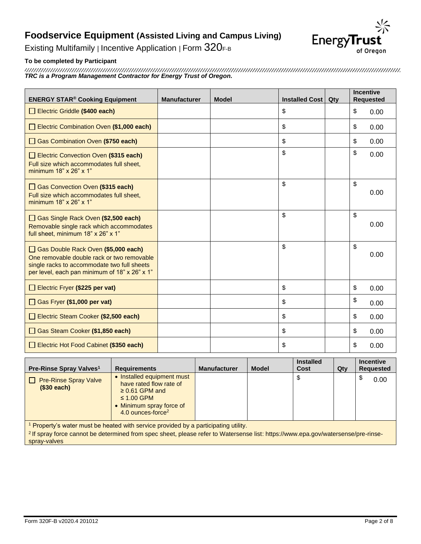

Existing Multifamily | Incentive Application | Form 320F-B

### **To be completed by Participant**

*TRC is a Program Management Contractor for Energy Trust of Oregon.*

| <b>ENERGY STAR® Cooking Equipment</b>                                                                                                                                             | <b>Manufacturer</b> | <b>Model</b> | Installed Cost | Qty | <b>Incentive</b> | <b>Requested</b> |
|-----------------------------------------------------------------------------------------------------------------------------------------------------------------------------------|---------------------|--------------|----------------|-----|------------------|------------------|
| Electric Griddle (\$400 each)                                                                                                                                                     |                     |              | \$             |     | \$               | 0.00             |
| Electric Combination Oven (\$1,000 each)                                                                                                                                          |                     |              | \$             |     | \$               | 0.00             |
| Gas Combination Oven (\$750 each)                                                                                                                                                 |                     |              | \$             |     | \$               | 0.00             |
| Electric Convection Oven (\$315 each)<br>Full size which accommodates full sheet,<br>minimum 18" x 26" x 1"                                                                       |                     |              | \$             |     | \$               | 0.00             |
| Gas Convection Oven (\$315 each)<br>Full size which accommodates full sheet,<br>minimum 18" x 26" x 1"                                                                            |                     |              | \$             |     | \$               | 0.00             |
| Gas Single Rack Oven (\$2,500 each)<br>Removable single rack which accommodates<br>full sheet, minimum 18" x 26" x 1"                                                             |                     |              | $\mathsf{\$}$  |     | $\mathsf{\$}$    | 0.00             |
| Gas Double Rack Oven (\$5,000 each)<br>One removable double rack or two removable<br>single racks to accommodate two full sheets<br>per level, each pan minimum of 18" x 26" x 1" |                     |              | \$             |     | \$               | 0.00             |
| Electric Fryer (\$225 per vat)                                                                                                                                                    |                     |              | \$             |     | \$               | 0.00             |
| Gas Fryer (\$1,000 per vat)                                                                                                                                                       |                     |              | \$             |     | \$               | 0.00             |
| Electric Steam Cooker (\$2,500 each)                                                                                                                                              |                     |              | \$             |     | \$               | 0.00             |
| Gas Steam Cooker (\$1,850 each)                                                                                                                                                   |                     |              | \$             |     | \$               | 0.00             |
| Electric Hot Food Cabinet (\$350 each)                                                                                                                                            |                     |              | \$             |     | \$               | 0.00             |

| Pre-Rinse Spray Valves <sup>1</sup>         | <b>Requirements</b>                                                                                                                                          | <b>Manufacturer</b>                                                                 | <b>Model</b> | <b>Installed</b><br>Cost | Qty | <b>Incentive</b><br><b>Requested</b> |
|---------------------------------------------|--------------------------------------------------------------------------------------------------------------------------------------------------------------|-------------------------------------------------------------------------------------|--------------|--------------------------|-----|--------------------------------------|
| <b>Pre-Rinse Spray Valve</b><br>(\$30 each) | • Installed equipment must<br>have rated flow rate of<br>$\geq$ 0.61 GPM and<br>$\leq$ 1.00 GPM<br>• Minimum spray force of<br>4.0 ounces-force <sup>2</sup> |                                                                                     |              | จ                        |     | 0.00                                 |
| $\mathbf{A}$ . The set of $\mathbf{A}$      | .                                                                                                                                                            | the company's company's company's company's company's company's company's company's |              |                          |     |                                      |

<sup>1</sup> Property's water must be heated with service provided by a participating utility.

2 If spray force cannot be determined from spec sheet, please refer to Watersense list: https://www.epa.gov/watersense/pre-rinsespray-valves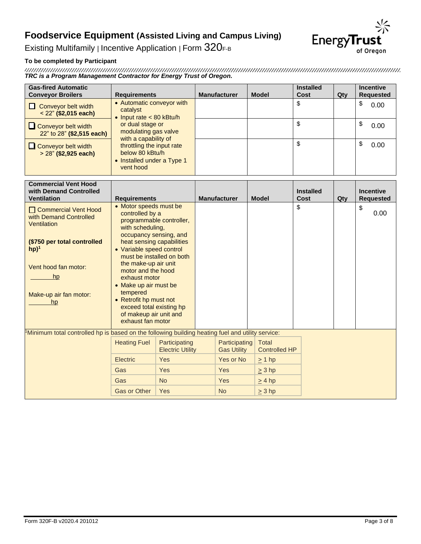**EnergyTrust** of Oregon

Existing Multifamily | Incentive Application | Form 320F-B

### **To be completed by Participant**

*TRC is a Program Management Contractor for Energy Trust of Oregon.*

| <b>Gas-fired Automatic</b><br><b>Conveyor Broilers</b>                 | <b>Requirements</b>                                                                                                 | <b>Manufacturer</b> | <b>Model</b> | <b>Installed</b><br>Cost | $Q$ ty | <b>Incentive</b><br><b>Requested</b> |
|------------------------------------------------------------------------|---------------------------------------------------------------------------------------------------------------------|---------------------|--------------|--------------------------|--------|--------------------------------------|
| Conveyor belt width<br>$<$ 22" (\$2,015 each)                          | • Automatic conveyor with<br>catalyst<br>• Input rate $< 80$ kBtu/h                                                 |                     |              | \$                       |        | \$<br>0.00                           |
| Conveyor belt width<br>22" to 28" (\$2,515 each)                       | or dual stage or<br>modulating gas valve<br>with a capability of                                                    |                     |              | \$                       |        | \$<br>0.00                           |
| $\Box$ Conveyor belt width<br>$> 28$ " (\$2,925 each)                  | throttling the input rate<br>below 80 kBtu/h<br>• Installed under a Type 1<br>vent hood                             |                     |              | \$                       |        | \$<br>0.00                           |
| <b>Commercial Vent Hood</b>                                            |                                                                                                                     |                     |              |                          |        |                                      |
| with Demand Controlled<br><b>Ventilation</b>                           | <b>Requirements</b>                                                                                                 | <b>Manufacturer</b> | <b>Model</b> | <b>Installed</b><br>Cost | Qty    | <b>Incentive</b><br><b>Requested</b> |
| □ Commercial Vent Hood<br>with Demand Controlled<br><b>Ventilation</b> | • Motor speeds must be<br>controlled by a<br>programmable controller,<br>with scheduling,<br>occupancy sensing, and |                     |              | \$                       |        | \$<br>0.00                           |

| (\$750 per total controlled<br>$hp)^1$<br>Vent hood fan motor:<br>hp<br>Make-up air fan motor:<br>hp | heat sensing capabilities<br>• Variable speed control<br>the make-up air unit<br>motor and the hood<br>exhaust motor<br>• Make up air must be<br>tempered<br>• Retrofit hp must not<br>exceed total existing hp<br>of makeup air unit and<br>exhaust fan motor | must be installed on both                |                                     |                                      |  |  |
|------------------------------------------------------------------------------------------------------|----------------------------------------------------------------------------------------------------------------------------------------------------------------------------------------------------------------------------------------------------------------|------------------------------------------|-------------------------------------|--------------------------------------|--|--|
| "Minimum total controlled hp is based on the following building heating fuel and utility service:    | <b>Heating Fuel</b>                                                                                                                                                                                                                                            | Participating<br><b>Electric Utility</b> | Participating<br><b>Gas Utility</b> | <b>Total</b><br><b>Controlled HP</b> |  |  |
|                                                                                                      | Electric                                                                                                                                                                                                                                                       | <b>Yes</b>                               | Yes or No                           | $\geq 1$ hp                          |  |  |
|                                                                                                      | Gas                                                                                                                                                                                                                                                            | <b>Yes</b>                               | <b>Yes</b>                          | $\geq 3$ hp                          |  |  |
|                                                                                                      | Gas                                                                                                                                                                                                                                                            | <b>No</b>                                | <b>Yes</b>                          | $\geq$ 4 hp                          |  |  |
|                                                                                                      | <b>Gas or Other</b>                                                                                                                                                                                                                                            | <b>Yes</b>                               | <b>No</b>                           | $\geq 3$ hp                          |  |  |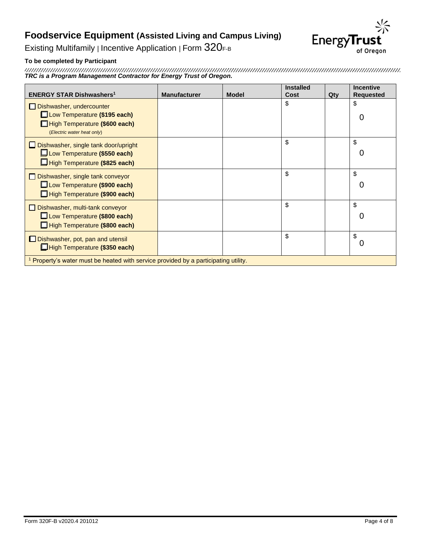

Existing Multifamily | Incentive Application | Form 320F-B

### **To be completed by Participant**

*TRC is a Program Management Contractor for Energy Trust of Oregon.*

| <b>ENERGY STAR Dishwashers<sup>1</sup></b>                                                     | <b>Manufacturer</b> | <b>Model</b> | <b>Installed</b><br><b>Cost</b> | Qty | <b>Incentive</b><br><b>Requested</b> |
|------------------------------------------------------------------------------------------------|---------------------|--------------|---------------------------------|-----|--------------------------------------|
| $\Box$ Dishwasher, undercounter                                                                |                     |              | \$                              |     | \$                                   |
| <b>Low Temperature (\$195 each)</b>                                                            |                     |              |                                 |     | 0                                    |
| High Temperature (\$600 each)<br>(Electric water heat only)                                    |                     |              |                                 |     |                                      |
| $\Box$ Dishwasher, single tank door/upright                                                    |                     |              | \$                              |     | \$                                   |
| <b>Low Temperature (\$550 each)</b>                                                            |                     |              |                                 |     | 0                                    |
| High Temperature (\$825 each)                                                                  |                     |              |                                 |     |                                      |
| $\Box$ Dishwasher, single tank conveyor                                                        |                     |              | \$                              |     | \$                                   |
| <b>Low Temperature (\$900 each)</b>                                                            |                     |              |                                 |     | 0                                    |
| High Temperature (\$900 each)                                                                  |                     |              |                                 |     |                                      |
| $\Box$ Dishwasher, multi-tank conveyor                                                         |                     |              | \$                              |     | \$                                   |
| <b>Low Temperature (\$800 each)</b>                                                            |                     |              |                                 |     | 0                                    |
| High Temperature (\$800 each)                                                                  |                     |              |                                 |     |                                      |
| $\Box$ Dishwasher, pot, pan and utensil                                                        |                     |              | \$                              |     | \$                                   |
| High Temperature (\$350 each)                                                                  |                     |              |                                 |     | 0                                    |
| <sup>1</sup> Property's water must be heated with service provided by a participating utility. |                     |              |                                 |     |                                      |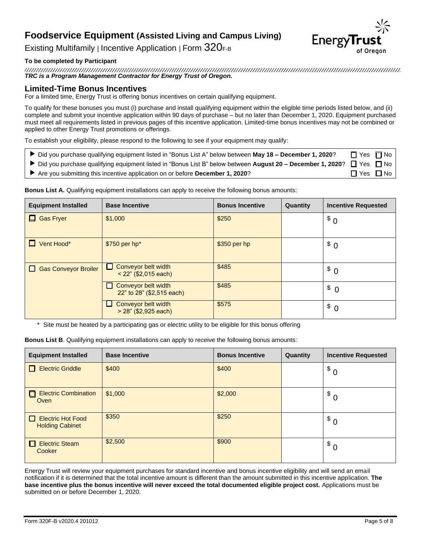

Existing Multifamily | Incentive Application | Form 320F-B

### **To be completed by Participant**

*TRC is a Program Management Contractor for Energy Trust of Oregon.*

### **Limited-Time Bonus Incentives**

For a limited time, Energy Trust is offering bonus incentives on certain qualifying equipment.

To qualify for these bonuses you must (i) purchase and install qualifying equipment within the eligible time periods listed below, and (ii) complete and submit your incentive application within 90 days of purchase – but no later than December 1, 2020. Equipment purchased must meet all requirements listed in previous pages of this incentive application. Limited-time bonus incentives may not be combined or applied to other Energy Trust promotions or offerings.

To establish your eligibility, please respond to the following to see if your equipment may qualify:

- Did you purchase qualifying equipment listed in "Bonus List A" below between May 18 December 1, 2020? <sub>■</sub> Yes No
- ▶ Did you purchase qualifying equipment listed in "Bonus List B" below between **August 20 December 1, 2020**? □ Yes □ No
- Are you submitting this incentive application on or before **December 1, 2020**? <br>
No

| <b>Equipment Installed</b>  | <b>Base Incentive</b>                            | <b>Bonus Incentive</b> | Quantity | <b>Incentive Requested</b> |
|-----------------------------|--------------------------------------------------|------------------------|----------|----------------------------|
| 0<br><b>Gas Fryer</b>       | \$1,000                                          | \$250                  |          | $\delta$ 0                 |
| Vent Hood*                  | $$750$ per hp*                                   | $$350$ per hp          |          | $\Omega$                   |
| <b>Gas Conveyor Broiler</b> | Conveyor belt width<br>$< 22$ " (\$2,015 each)   | \$485                  |          | $\Omega$                   |
|                             | Conveyor belt width<br>22" to 28" (\$2,515 each) | \$485                  |          | $\Omega$                   |
|                             | Conveyor belt width<br>> 28" (\$2,925 each)      | \$575                  |          | $\Omega$                   |

**Bonus List A.** Qualifying equipment installations can apply to receive the following bonus amounts:

\* Site must be heated by a participating gas or electric utility to be eligible for this bonus offering

**Bonus List B**. Qualifying equipment installations can apply to receive the following bonus amounts:

| <b>Equipment Installed</b>                         | <b>Base Incentive</b> | <b>Bonus Incentive</b> | Quantity | <b>Incentive Requested</b> |
|----------------------------------------------------|-----------------------|------------------------|----------|----------------------------|
| Electric Griddle                                   | \$400                 | \$400                  |          | \$<br>$\overline{0}$       |
| $\Box$<br><b>Electric Combination</b><br>Oven      | \$1,000               | \$2,000                |          | \$<br>0                    |
| $\Box$ Electric Hot Food<br><b>Holding Cabinet</b> | \$350                 | \$250                  |          | $\sqrt{s}$ 0               |
| <b>Electric Steam</b><br>Cooker                    | \$2,500               | \$900                  |          | $\sqrt[3]{6}$              |

Energy Trust will review your equipment purchases for standard incentive and bonus incentive eligibility and will send an email notification if it is determined that the total incentive amount is different than the amount submitted in this incentive application. **The base incentive plus the bonus incentive will never exceed the total documented eligible project cost.** Applications must be submitted on or before December 1, 2020.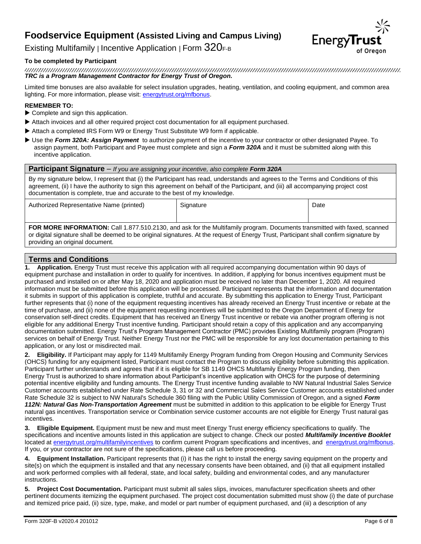

Existing Multifamily | Incentive Application | Form  $320$ F-B

#### **To be completed by Participant**

*TRC is a Program Management Contractor for Energy Trust of Oregon.*

Limited time bonuses are also available for select insulation upgrades, heating, ventilation, and cooling equipment, and common area lighting. For more information, please visit: [energytrust.org/mfbonus.](https://www.energytrust.org/mfbonus)

#### **REMEMBER TO:**

- ▶ Complete and sign this application.
- Attach invoices and all other required project cost documentation for all equipment purchased.
- Attach a completed IRS Form W9 or Energy Trust Substitute W9 form if applicable.
- Use the *Form 320A: Assign Payment* to authorize payment of the incentive to your contractor or other designated Payee. To assign payment, both Participant and Payee must complete and sign a *Form 320A* and it must be submitted along with this incentive application.

**Participant Signature** *– If you are assigning your incentive, also complete Form 320A* By my signature below, I represent that (i) the Participant has read, understands and agrees to the Terms and Conditions of this agreement, (ii) I have the authority to sign this agreement on behalf of the Participant, and (iii) all accompanying project cost documentation is complete, true and accurate to the best of my knowledge. Authorized Representative Name (printed) Signature Signature Name (Date

**FOR MORE INFORMATION:** Call 1.877.510.2130, and ask for the Multifamily program. Documents transmitted with faxed, scanned or digital signature shall be deemed to be original signatures. At the request of Energy Trust, Participant shall confirm signature by providing an original document.

#### **Terms and Conditions**

**1. Application.** Energy Trust must receive this application with all required accompanying documentation within 90 days of equipment purchase and installation in order to qualify for incentives. In addition, if applying for bonus incentives equipment must be purchased and installed on or after May 18, 2020 and application must be received no later than December 1, 2020. All required information must be submitted before this application will be processed. Participant represents that the information and documentation it submits in support of this application is complete, truthful and accurate. By submitting this application to Energy Trust, Participant further represents that (i) none of the equipment requesting incentives has already received an Energy Trust incentive or rebate at the time of purchase, and (ii) none of the equipment requesting incentives will be submitted to the Oregon Department of Energy for conservation self-direct credits. Equipment that has received an Energy Trust incentive or rebate via another program offering is not eligible for any additional Energy Trust incentive funding. Participant should retain a copy of this application and any accompanying documentation submitted. Energy Trust's Program Management Contractor (PMC) provides Existing Multifamily program (Program) services on behalf of Energy Trust. Neither Energy Trust nor the PMC will be responsible for any lost documentation pertaining to this application, or any lost or misdirected mail.

**2. Eligibility.** If Participant may apply for 1149 Multifamily Energy Program funding from Oregon Housing and Community Services (OHCS) funding for any equipment listed, Participant must contact the Program to discuss eligibility before submitting this application. Participant further understands and agrees that if it is eligible for SB 1149 OHCS Multifamily Energy Program funding, then Energy Trust is authorized to share information about Participant's incentive application with OHCS for the purpose of determining potential incentive eligibility and funding amounts. The Energy Trust incentive funding available to NW Natural Industrial Sales Service Customer accounts established under Rate Schedule 3, 31 or 32 and Commercial Sales Service Customer accounts established under Rate Schedule 32 is subject to NW Natural's Schedule 360 filing with the Public Utility Commission of Oregon, and a signed *Form 112N: Natural Gas Non-Transportation Agreement* must be submitted in addition to this application to be eligible for Energy Trust natural gas incentives. Transportation service or Combination service customer accounts are not eligible for Energy Trust natural gas incentives.

**3. Eligible Equipment.** Equipment must be new and must meet Energy Trust energy efficiency specifications to qualify. The specifications and incentive amounts listed in this application are subject to change. Check our posted *Multifamily Incentive Booklet* located a[t energytrust.org/multifamilyincentives](https://www.energytrust.org/wp-content/uploads/2016/10/be_mf_incentive_booklet.pdf?utm_source=multiple&utm_medium=print&utm_content=incentive_booklet&utm_campaign=multifamily) to confirm current Program specifications and incentives, and [energytrust.org/mfbonus.](https://www.energytrust.org/mfbonus) If you, or your contractor are not sure of the specifications, please call us before proceeding.

**4. Equipment Installation.** Participant represents that (i) it has the right to install the energy saving equipment on the property and site(s) on which the equipment is installed and that any necessary consents have been obtained, and (ii) that all equipment installed and work performed complies with all federal, state, and local safety, building and environmental codes, and any manufacturer instructions.

**5. Project Cost Documentation.** Participant must submit all sales slips, invoices, manufacturer specification sheets and other pertinent documents itemizing the equipment purchased. The project cost documentation submitted must show (i) the date of purchase and itemized price paid, (ii) size, type, make, and model or part number of equipment purchased, and (iii) a description of any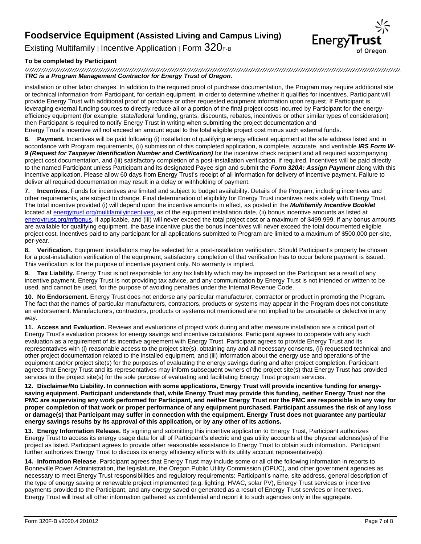

Existing Multifamily | Incentive Application | Form  $320$ F-B

#### **To be completed by Participant**

*TRC is a Program Management Contractor for Energy Trust of Oregon.*

installation or other labor charges. In addition to the required proof of purchase documentation, the Program may require additional site or technical information from Participant, for certain equipment, in order to determine whether it qualifies for incentives. Participant will provide Energy Trust with additional proof of purchase or other requested equipment information upon request. If Participant is leveraging external funding sources to directly reduce all or a portion of the final project costs incurred by Participant for the energyefficiency equipment (for example, state/federal funding, grants, discounts, rebates, incentives or other similar types of consideration) then Participant is required to notify Energy Trust in writing when submitting the project documentation and Energy Trust's incentive will not exceed an amount equal to the total eligible project cost minus such external funds.

**6. Payment.** Incentives will be paid following (i) installation of qualifying energy efficient equipment at the site address listed and in accordance with Program requirements, (ii) submission of this completed application, a complete, accurate, and verifiable *IRS Form W-*9 (Request for Taxpayer Identification Number and Certification) for the incentive check recipient and all required accompanying project cost documentation, and (iii) satisfactory completion of a post-installation verification, if required. Incentives will be paid directly to the named Participant unless Participant and its designated Payee sign and submit the *Form 320A: Assign Payment* along with this incentive application. Please allow 60 days from Energy Trust's receipt of all information for delivery of incentive payment. Failure to deliver all required documentation may result in a delay or withholding of payment.

**7. Incentives.** Funds for incentives are limited and subject to budget availability. Details of the Program, including incentives and other requirements, are subject to change. Final determination of eligibility for Energy Trust incentives rests solely with Energy Trust. The total incentive provided (i) will depend upon the incentive amounts in effect, as posted in the *Multifamily Incentive Booklet* located a[t energytrust.org/multifamilyincentives,](https://www.energytrust.org/wp-content/uploads/2016/10/be_mf_incentive_booklet.pdf?utm_source=multiple&utm_medium=print&utm_content=incentive_booklet&utm_campaign=multifamily) as of the equipment installation date, (ii) bonus incentive amounts as listed at [energytrust.org/mfbonus,](http://www.energytrust.org/mfbonus) if applicable, and (iii) will never exceed the total project cost or a maximum of \$499,999. If any bonus amounts are available for qualifying equipment, the base incentive plus the bonus incentives will never exceed the total documented eligible project cost. Incentives paid to any participant for all applications submitted to Program are limited to a maximum of \$500,000 per-site, per-year.

**8. Verification.** Equipment installations may be selected for a post-installation verification. Should Participant's property be chosen for a post-installation verification of the equipment, satisfactory completion of that verification has to occur before payment is issued. This verification is for the purpose of incentive payment only. No warranty is implied.

**9. Tax Liability.** Energy Trust is not responsible for any tax liability which may be imposed on the Participant as a result of any incentive payment. Energy Trust is not providing tax advice, and any communication by Energy Trust is not intended or written to be used, and cannot be used, for the purpose of avoiding penalties under the Internal Revenue Code.

**10. No Endorsement.** Energy Trust does not endorse any particular manufacturer, contractor or product in promoting the Program. The fact that the names of particular manufacturers, contractors, products or systems may appear in the Program does not constitute an endorsement. Manufacturers, contractors, products or systems not mentioned are not implied to be unsuitable or defective in any way.

**11. Access and Evaluation.** Reviews and evaluations of project work during and after measure installation are a critical part of Energy Trust's evaluation process for energy savings and incentive calculations. Participant agrees to cooperate with any such evaluation as a requirement of its incentive agreement with Energy Trust. Participant agrees to provide Energy Trust and its representatives with (i) reasonable access to the project site(s), obtaining any and all necessary consents, (ii) requested technical and other project documentation related to the installed equipment, and (iii) information about the energy use and operations of the equipment and/or project site(s) for the purposes of evaluating the energy savings during and after project completion. Participant agrees that Energy Trust and its representatives may inform subsequent owners of the project site(s) that Energy Trust has provided services to the project site(s) for the sole purpose of evaluating and facilitating Energy Trust program services.

**12. Disclaimer/No Liability. In connection with some applications, Energy Trust will provide incentive funding for energysaving equipment. Participant understands that, while Energy Trust may provide this funding, neither Energy Trust nor the PMC are supervising any work performed for Participant, and neither Energy Trust nor the PMC are responsible in any way for proper completion of that work or proper performance of any equipment purchased. Participant assumes the risk of any loss or damage(s) that Participant may suffer in connection with the equipment. Energy Trust does not guarantee any particular energy savings results by its approval of this application, or by any other of its actions.**

**13. Energy Information Release.** By signing and submitting this incentive application to Energy Trust, Participant authorizes Energy Trust to access its energy usage data for all of Participant's electric and gas utility accounts at the physical address(es) of the project as listed. Participant agrees to provide other reasonable assistance to Energy Trust to obtain such information. Participant further authorizes Energy Trust to discuss its energy efficiency efforts with its utility account representative(s).

**14. Information Release**. Participant agrees that Energy Trust may include some or all of the following information in reports to Bonneville Power Administration, the legislature, the Oregon Public Utility Commission (OPUC), and other government agencies as necessary to meet Energy Trust responsibilities and regulatory requirements: Participant's name, site address, general description of the type of energy saving or renewable project implemented (e.g. lighting, HVAC, solar PV), Energy Trust services or incentive payments provided to the Participant, and any energy saved or generated as a result of Energy Trust services or incentives. Energy Trust will treat all other information gathered as confidential and report it to such agencies only in the aggregate.